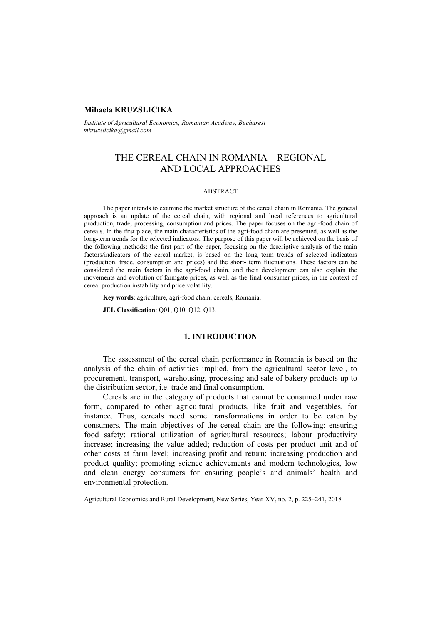## **Mihaela KRUZSLICIKA**

*Institute of Agricultural Economics, Romanian Academy, Bucharest mkruzslicika@gmail.com* 

# THE CEREAL CHAIN IN ROMANIA – REGIONAL AND LOCAL APPROACHES

## ABSTRACT

The paper intends to examine the market structure of the cereal chain in Romania. The general approach is an update of the cereal chain, with regional and local references to agricultural production, trade, processing, consumption and prices. The paper focuses on the agri-food chain of cereals. In the first place, the main characteristics of the agri-food chain are presented, as well as the long-term trends for the selected indicators. The purpose of this paper will be achieved on the basis of the following methods: the first part of the paper, focusing on the descriptive analysis of the main factors/indicators of the cereal market, is based on the long term trends of selected indicators (production, trade, consumption and prices) and the short- term fluctuations. These factors can be considered the main factors in the agri-food chain, and their development can also explain the movements and evolution of farmgate prices, as well as the final consumer prices, in the context of cereal production instability and price volatility.

**Key words**: agriculture, agri-food chain, cereals, Romania.

**JEL Classification**: Q01, Q10, Q12, Q13.

## **1. INTRODUCTION**

The assessment of the cereal chain performance in Romania is based on the analysis of the chain of activities implied, from the agricultural sector level, to procurement, transport, warehousing, processing and sale of bakery products up to the distribution sector, i.e. trade and final consumption.

Cereals are in the category of products that cannot be consumed under raw form, compared to other agricultural products, like fruit and vegetables, for instance. Thus, cereals need some transformations in order to be eaten by consumers. The main objectives of the cereal chain are the following: ensuring food safety; rational utilization of agricultural resources; labour productivity increase; increasing the value added; reduction of costs per product unit and of other costs at farm level; increasing profit and return; increasing production and product quality; promoting science achievements and modern technologies, low and clean energy consumers for ensuring people's and animals' health and environmental protection.

Agricultural Economics and Rural Development, New Series, Year XV, no. 2, p. 225–241, 2018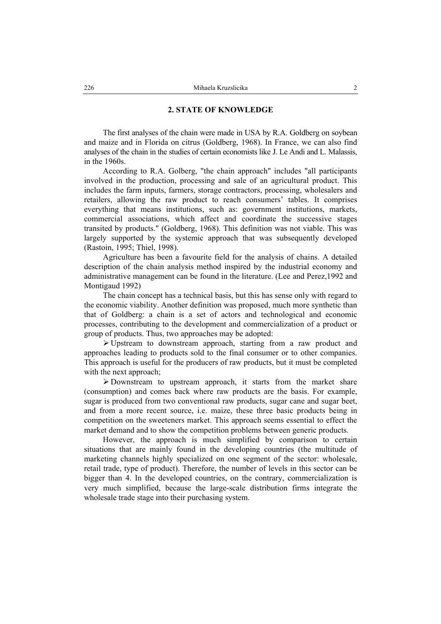#### **2. STATE OF KNOWLEDGE**

The first analyses of the chain were made in USA by R.A. Goldberg on soybean and maize and in Florida on citrus (Goldberg, 1968). In France, we can also find analyses of the chain in the studies of certain economists like J. Le Andi and L. Malassis, in the 1960s.

According to R.A. Golberg, "the chain approach" includes "all participants involved in the production, processing and sale of an agricultural product. This includes the farm inputs, farmers, storage contractors, processing, wholesalers and retailers, allowing the raw product to reach consumers' tables. It comprises everything that means institutions, such as: government institutions, markets, commercial associations, which affect and coordinate the successive stages transited by products." (Goldberg, 1968). This definition was not viable. This was largely supported by the systemic approach that was subsequently developed (Rastoin, 1995; Thiel, 1998).

Agriculture has been a favourite field for the analysis of chains. A detailed description of the chain analysis method inspired by the industrial economy and administrative management can be found in the literature. (Lee and Perez,1992 and Montigaud 1992)

The chain concept has a technical basis, but this has sense only with regard to the economic viability. Another definition was proposed, much more synthetic than that of Goldberg: a chain is a set of actors and technological and economic processes, contributing to the development and commercialization of a product or group of products. Thus, two approaches may be adopted:

 $\triangleright$  Upstream to downstream approach, starting from a raw product and approaches leading to products sold to the final consumer or to other companies. This approach is useful for the producers of raw products, but it must be completed with the next approach:

¾ Downstream to upstream approach, it starts from the market share (consumption) and comes back where raw products are the basis. For example, sugar is produced from two conventional raw products, sugar cane and sugar beet, and from a more recent source, i.e. maize, these three basic products being in competition on the sweeteners market. This approach seems essential to effect the market demand and to show the competition problems between generic products.

However, the approach is much simplified by comparison to certain situations that are mainly found in the developing countries (the multitude of marketing channels highly specialized on one segment of the sector: wholesale, retail trade, type of product). Therefore, the number of levels in this sector can be bigger than 4. In the developed countries, on the contrary, commercialization is very much simplified, because the large-scale distribution firms integrate the wholesale trade stage into their purchasing system.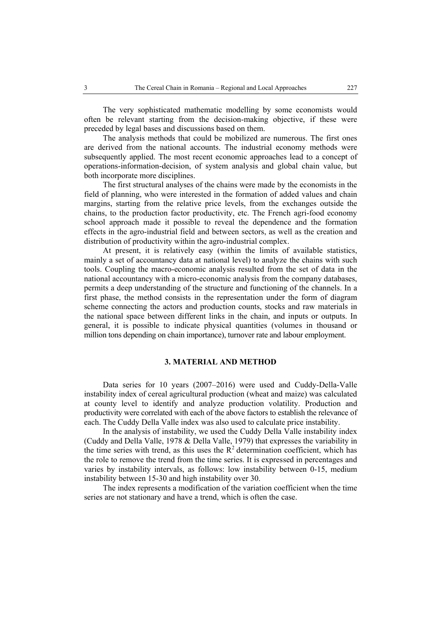The very sophisticated mathematic modelling by some economists would often be relevant starting from the decision-making objective, if these were preceded by legal bases and discussions based on them.

The analysis methods that could be mobilized are numerous. The first ones are derived from the national accounts. The industrial economy methods were subsequently applied. The most recent economic approaches lead to a concept of operations-information-decision, of system analysis and global chain value, but both incorporate more disciplines.

The first structural analyses of the chains were made by the economists in the field of planning, who were interested in the formation of added values and chain margins, starting from the relative price levels, from the exchanges outside the chains, to the production factor productivity, etc. The French agri-food economy school approach made it possible to reveal the dependence and the formation effects in the agro-industrial field and between sectors, as well as the creation and distribution of productivity within the agro-industrial complex.

At present, it is relatively easy (within the limits of available statistics, mainly a set of accountancy data at national level) to analyze the chains with such tools. Coupling the macro-economic analysis resulted from the set of data in the national accountancy with a micro-economic analysis from the company databases, permits a deep understanding of the structure and functioning of the channels. In a first phase, the method consists in the representation under the form of diagram scheme connecting the actors and production counts, stocks and raw materials in the national space between different links in the chain, and inputs or outputs. In general, it is possible to indicate physical quantities (volumes in thousand or million tons depending on chain importance), turnover rate and labour employment.

## **3. MATERIAL AND METHOD**

Data series for 10 years (2007–2016) were used and Cuddy-Della-Valle instability index of cereal agricultural production (wheat and maize) was calculated at county level to identify and analyze production volatility. Production and productivity were correlated with each of the above factors to establish the relevance of each. The Cuddy Della Valle index was also used to calculate price instability.

In the analysis of instability, we used the Cuddy Della Valle instability index (Cuddy and Della Valle, 1978 & Della Valle, 1979) that expresses the variability in the time series with trend, as this uses the  $R^2$  determination coefficient, which has the role to remove the trend from the time series. It is expressed in percentages and varies by instability intervals, as follows: low instability between 0-15, medium instability between 15-30 and high instability over 30.

The index represents a modification of the variation coefficient when the time series are not stationary and have a trend, which is often the case.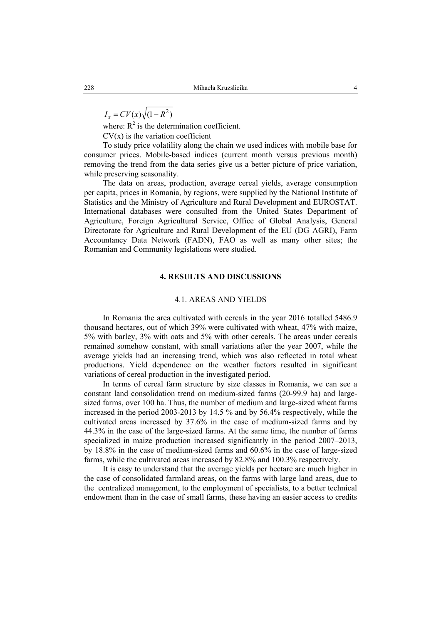$$
I_x = CV(x)\sqrt{(1 - R^2)}
$$

where:  $R^2$  is the determination coefficient.

 $CV(x)$  is the variation coefficient

To study price volatility along the chain we used indices with mobile base for consumer prices. Mobile-based indices (current month versus previous month) removing the trend from the data series give us a better picture of price variation, while preserving seasonality.

The data on areas, production, average cereal yields, average consumption per capita, prices in Romania, by regions, were supplied by the National Institute of Statistics and the Ministry of Agriculture and Rural Development and EUROSTAT. International databases were consulted from the United States Department of Agriculture, Foreign Agricultural Service, Office of Global Analysis, General Directorate for Agriculture and Rural Development of the EU (DG AGRI), Farm Accountancy Data Network (FADN), FAO as well as many other sites; the Romanian and Community legislations were studied.

#### **4. RESULTS AND DISCUSSIONS**

#### 4.1. AREAS AND YIELDS

In Romania the area cultivated with cereals in the year 2016 totalled 5486.9 thousand hectares, out of which 39% were cultivated with wheat, 47% with maize, 5% with barley, 3% with oats and 5% with other cereals. The areas under cereals remained somehow constant, with small variations after the year 2007, while the average yields had an increasing trend, which was also reflected in total wheat productions. Yield dependence on the weather factors resulted in significant variations of cereal production in the investigated period.

In terms of cereal farm structure by size classes in Romania, we can see a constant land consolidation trend on medium-sized farms (20-99.9 ha) and largesized farms, over 100 ha. Thus, the number of medium and large-sized wheat farms increased in the period 2003-2013 by 14.5 % and by 56.4% respectively, while the cultivated areas increased by 37.6% in the case of medium-sized farms and by 44.3% in the case of the large-sized farms. At the same time, the number of farms specialized in maize production increased significantly in the period 2007–2013, by 18.8% in the case of medium-sized farms and 60.6% in the case of large-sized farms, while the cultivated areas increased by 82.8% and 100.3% respectively.

It is easy to understand that the average yields per hectare are much higher in the case of consolidated farmland areas, on the farms with large land areas, due to the centralized management, to the employment of specialists, to a better technical endowment than in the case of small farms, these having an easier access to credits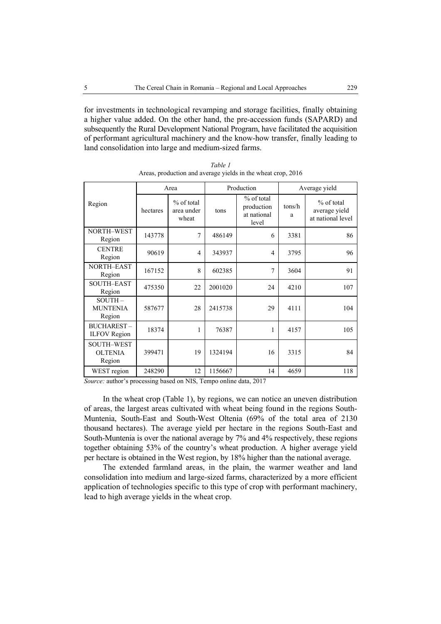for investments in technological revamping and storage facilities, finally obtaining a higher value added. On the other hand, the pre-accession funds (SAPARD) and subsequently the Rural Development National Program, have facilitated the acquisition of performant agricultural machinery and the know-how transfer, finally leading to land consolidation into large and medium-sized farms.

|                                               | Area     |                                   | Production |                                                  | Average yield |                                                  |
|-----------------------------------------------|----------|-----------------------------------|------------|--------------------------------------------------|---------------|--------------------------------------------------|
| Region                                        | hectares | % of total<br>area under<br>wheat | tons       | % of total<br>production<br>at national<br>level | tons/h<br>a   | % of total<br>average yield<br>at national level |
| NORTH-WEST<br>Region                          | 143778   | 7                                 | 486149     | 6                                                | 3381          | 86                                               |
| <b>CENTRE</b><br>Region                       | 90619    | 4                                 | 343937     | $\overline{4}$                                   | 3795          | 96                                               |
| NORTH-EAST<br>Region                          | 167152   | 8                                 | 602385     | $\overline{7}$                                   | 3604          | 91                                               |
| SOUTH-EAST<br>Region                          | 475350   | 22                                | 2001020    | 24                                               | 4210          | 107                                              |
| $SOUTH -$<br><b>MUNTENIA</b><br>Region        | 587677   | 28                                | 2415738    | 29                                               | 4111          | 104                                              |
| <b>BUCHAREST-</b><br><b>ILFOV</b> Region      | 18374    | 1                                 | 76387      | 1                                                | 4157          | 105                                              |
| <b>SOUTH-WEST</b><br><b>OLTENIA</b><br>Region | 399471   | 19                                | 1324194    | 16                                               | 3315          | 84                                               |
| WEST region                                   | 248290   | 12                                | 1156667    | 14                                               | 4659          | 118                                              |

*Table 1*  Areas, production and average yields in the wheat crop, 2016

*Source:* author's processing based on NIS, Tempo online data, 2017

In the wheat crop (Table 1), by regions, we can notice an uneven distribution of areas, the largest areas cultivated with wheat being found in the regions South-Muntenia, South-East and South-West Oltenia (69% of the total area of 2130 thousand hectares). The average yield per hectare in the regions South-East and South-Muntenia is over the national average by 7% and 4% respectively, these regions together obtaining 53% of the country's wheat production. A higher average yield per hectare is obtained in the West region, by 18% higher than the national average.

The extended farmland areas, in the plain, the warmer weather and land consolidation into medium and large-sized farms, characterized by a more efficient application of technologies specific to this type of crop with performant machinery, lead to high average yields in the wheat crop.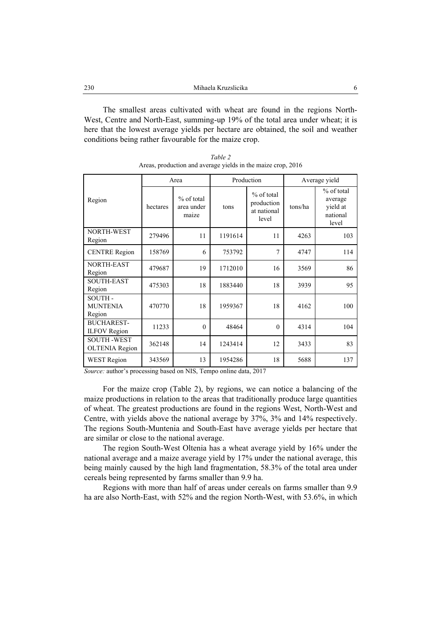The smallest areas cultivated with wheat are found in the regions North-West, Centre and North-East, summing-up 19% of the total area under wheat; it is here that the lowest average yields per hectare are obtained, the soil and weather conditions being rather favourable for the maize crop.

|                                            | Area     |                                     | Production |                                                    | Average yield |                                                        |
|--------------------------------------------|----------|-------------------------------------|------------|----------------------------------------------------|---------------|--------------------------------------------------------|
| Region                                     | hectares | $%$ of total<br>area under<br>maize | tons       | $%$ of total<br>production<br>at national<br>level | tons/ha       | % of total<br>average<br>yield at<br>national<br>level |
| NORTH-WEST<br>Region                       | 279496   | 11                                  | 1191614    | 11                                                 | 4263          | 103                                                    |
| <b>CENTRE Region</b>                       | 158769   | 6                                   | 753792     | 7                                                  | 4747          | 114                                                    |
| NORTH-EAST<br>Region                       | 479687   | 19                                  | 1712010    | 16                                                 | 3569          | 86                                                     |
| <b>SOUTH-EAST</b><br>Region                | 475303   | 18                                  | 1883440    | 18                                                 | 3939          | 95                                                     |
| SOUTH-<br><b>MUNTENIA</b><br>Region        | 470770   | 18                                  | 1959367    | 18                                                 | 4162          | 100                                                    |
| <b>BUCHAREST-</b><br><b>ILFOV</b> Region   | 11233    | $\Omega$                            | 48464      | $\Omega$                                           | 4314          | 104                                                    |
| <b>SOUTH-WEST</b><br><b>OLTENIA Region</b> | 362148   | 14                                  | 1243414    | 12                                                 | 3433          | 83                                                     |
| <b>WEST Region</b>                         | 343569   | 13                                  | 1954286    | 18                                                 | 5688          | 137                                                    |

*Table 2*  Areas, production and average yields in the maize crop, 2016

*Source:* author's processing based on NIS, Tempo online data, 2017

For the maize crop (Table 2), by regions, we can notice a balancing of the maize productions in relation to the areas that traditionally produce large quantities of wheat. The greatest productions are found in the regions West, North-West and Centre, with yields above the national average by 37%, 3% and 14% respectively. The regions South-Muntenia and South-East have average yields per hectare that are similar or close to the national average.

The region South-West Oltenia has a wheat average yield by 16% under the national average and a maize average yield by 17% under the national average, this being mainly caused by the high land fragmentation, 58.3% of the total area under cereals being represented by farms smaller than 9.9 ha.

Regions with more than half of areas under cereals on farms smaller than 9.9 ha are also North-East, with 52% and the region North-West, with 53.6%, in which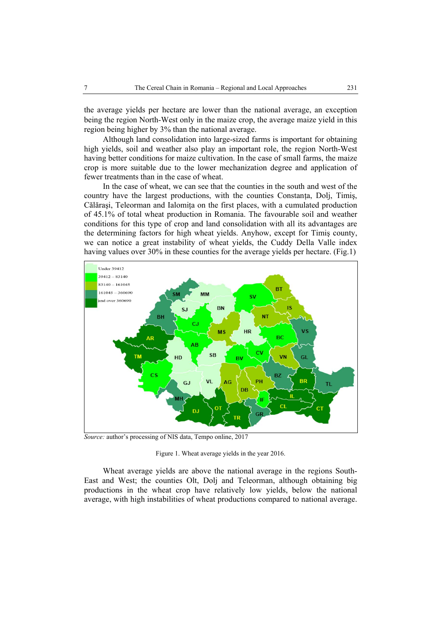the average yields per hectare are lower than the national average, an exception being the region North-West only in the maize crop, the average maize yield in this region being higher by 3% than the national average.

Although land consolidation into large-sized farms is important for obtaining high yields, soil and weather also play an important role, the region North-West having better conditions for maize cultivation. In the case of small farms, the maize crop is more suitable due to the lower mechanization degree and application of fewer treatments than in the case of wheat.

In the case of wheat, we can see that the counties in the south and west of the country have the largest productions, with the counties Constanta, Dolj, Timiş, Călăraşi, Teleorman and Ialomiţa on the first places, with a cumulated production of 45.1% of total wheat production in Romania. The favourable soil and weather conditions for this type of crop and land consolidation with all its advantages are the determining factors for high wheat yields. Anyhow, except for Timiş county, we can notice a great instability of wheat yields, the Cuddy Della Valle index having values over 30% in these counties for the average yields per hectare. (Fig.1)



*Source:* author's processing of NIS data, Tempo online, 2017

Figure 1. Wheat average yields in the year 2016.

Wheat average yields are above the national average in the regions South-East and West; the counties Olt, Dolj and Teleorman, although obtaining big productions in the wheat crop have relatively low yields, below the national average, with high instabilities of wheat productions compared to national average.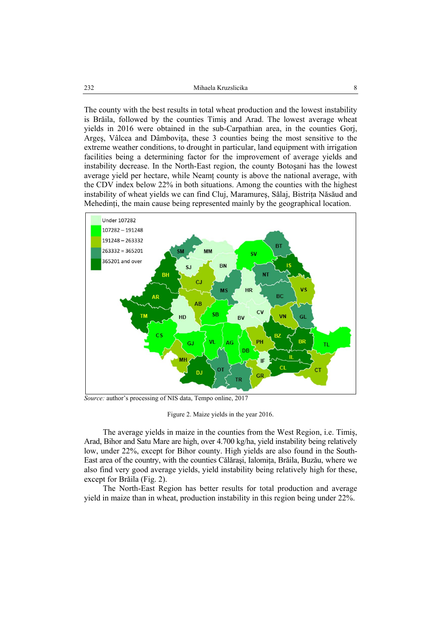The county with the best results in total wheat production and the lowest instability is Brăila, followed by the counties Timiş and Arad. The lowest average wheat yields in 2016 were obtained in the sub-Carpathian area, in the counties Gorj, Arges, Vâlcea and Dâmbovița, these 3 counties being the most sensitive to the extreme weather conditions, to drought in particular, land equipment with irrigation facilities being a determining factor for the improvement of average yields and instability decrease. In the North-East region, the county Botoşani has the lowest average yield per hectare, while Neamţ county is above the national average, with the CDV index below 22% in both situations. Among the counties with the highest instability of wheat yields we can find Cluj, Maramures, Sălaj, Bistrita Năsăud and Mehedinti, the main cause being represented mainly by the geographical location.



*Source:* author's processing of NIS data, Tempo online, 2017

Figure 2. Maize yields in the year 2016.

The average yields in maize in the counties from the West Region, i.e. Timiş, Arad, Bihor and Satu Mare are high, over 4.700 kg/ha, yield instability being relatively low, under 22%, except for Bihor county. High yields are also found in the South-East area of the country, with the counties Călăraşi, Ialomiţa, Brăila, Buzău, where we also find very good average yields, yield instability being relatively high for these, except for Brăila (Fig. 2).

The North-East Region has better results for total production and average yield in maize than in wheat, production instability in this region being under 22%.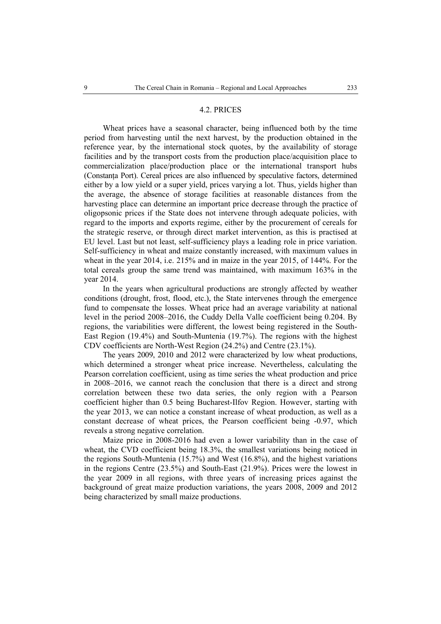### 4.2. PRICES

Wheat prices have a seasonal character, being influenced both by the time period from harvesting until the next harvest, by the production obtained in the reference year, by the international stock quotes, by the availability of storage facilities and by the transport costs from the production place/acquisition place to commercialization place/production place or the international transport hubs (Constanta Port). Cereal prices are also influenced by speculative factors, determined either by a low yield or a super yield, prices varying a lot. Thus, yields higher than the average, the absence of storage facilities at reasonable distances from the harvesting place can determine an important price decrease through the practice of oligopsonic prices if the State does not intervene through adequate policies, with regard to the imports and exports regime, either by the procurement of cereals for the strategic reserve, or through direct market intervention, as this is practised at EU level. Last but not least, self-sufficiency plays a leading role in price variation. Self-sufficiency in wheat and maize constantly increased, with maximum values in wheat in the year 2014, i.e. 215% and in maize in the year 2015, of 144%. For the total cereals group the same trend was maintained, with maximum 163% in the year 2014.

In the years when agricultural productions are strongly affected by weather conditions (drought, frost, flood, etc.), the State intervenes through the emergence fund to compensate the losses. Wheat price had an average variability at national level in the period 2008–2016, the Cuddy Della Valle coefficient being 0.204. By regions, the variabilities were different, the lowest being registered in the South-East Region (19.4%) and South-Muntenia (19.7%). The regions with the highest CDV coefficients are North-West Region (24.2%) and Centre (23.1%).

The years 2009, 2010 and 2012 were characterized by low wheat productions, which determined a stronger wheat price increase. Nevertheless, calculating the Pearson correlation coefficient, using as time series the wheat production and price in 2008–2016, we cannot reach the conclusion that there is a direct and strong correlation between these two data series, the only region with a Pearson coefficient higher than 0.5 being Bucharest-Ilfov Region. However, starting with the year 2013, we can notice a constant increase of wheat production, as well as a constant decrease of wheat prices, the Pearson coefficient being -0.97, which reveals a strong negative correlation.

Maize price in 2008-2016 had even a lower variability than in the case of wheat, the CVD coefficient being 18.3%, the smallest variations being noticed in the regions South-Muntenia (15.7%) and West (16.8%), and the highest variations in the regions Centre (23.5%) and South-East (21.9%). Prices were the lowest in the year 2009 in all regions, with three years of increasing prices against the background of great maize production variations, the years 2008, 2009 and 2012 being characterized by small maize productions.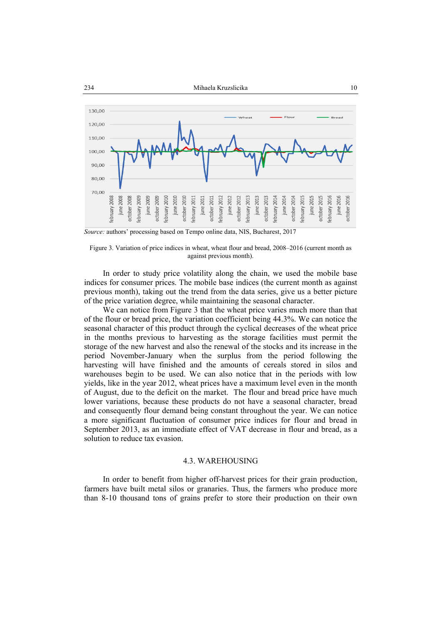

*Source:* authors' processing based on Tempo online data, NIS, Bucharest, 2017



In order to study price volatility along the chain, we used the mobile base indices for consumer prices. The mobile base indices (the current month as against previous month), taking out the trend from the data series, give us a better picture of the price variation degree, while maintaining the seasonal character.

We can notice from Figure 3 that the wheat price varies much more than that of the flour or bread price, the variation coefficient being 44.3%. We can notice the seasonal character of this product through the cyclical decreases of the wheat price in the months previous to harvesting as the storage facilities must permit the storage of the new harvest and also the renewal of the stocks and its increase in the period November-January when the surplus from the period following the harvesting will have finished and the amounts of cereals stored in silos and warehouses begin to be used. We can also notice that in the periods with low yields, like in the year 2012, wheat prices have a maximum level even in the month of August, due to the deficit on the market. The flour and bread price have much lower variations, because these products do not have a seasonal character, bread and consequently flour demand being constant throughout the year. We can notice a more significant fluctuation of consumer price indices for flour and bread in September 2013, as an immediate effect of VAT decrease in flour and bread, as a solution to reduce tax evasion.

#### 4.3. WAREHOUSING

In order to benefit from higher off-harvest prices for their grain production, farmers have built metal silos or granaries. Thus, the farmers who produce more than 8-10 thousand tons of grains prefer to store their production on their own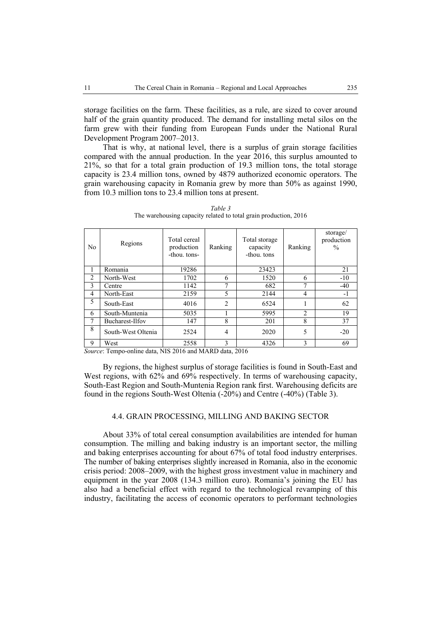storage facilities on the farm. These facilities, as a rule, are sized to cover around half of the grain quantity produced. The demand for installing metal silos on the farm grew with their funding from European Funds under the National Rural Development Program 2007–2013.

That is why, at national level, there is a surplus of grain storage facilities compared with the annual production. In the year 2016, this surplus amounted to 21%, so that for a total grain production of 19.3 million tons, the total storage capacity is 23.4 million tons, owned by 4879 authorized economic operators. The grain warehousing capacity in Romania grew by more than 50% as against 1990, from 10.3 million tons to 23.4 million tons at present.

| N <sub>0</sub> | Regions            | Total cereal<br>production<br>-thou, tons- | Ranking | Total storage<br>capacity<br>-thou, tons | Ranking        | storage/<br>production<br>$\frac{0}{0}$ |
|----------------|--------------------|--------------------------------------------|---------|------------------------------------------|----------------|-----------------------------------------|
| т.             | Romania            | 19286                                      |         | 23423                                    |                | 21                                      |
| $\overline{2}$ | North-West         | 1702                                       | 6       | 1520                                     | 6              | $-10$                                   |
| 3              | Centre             | 1142                                       | 7       | 682                                      | 7              | $-40$                                   |
| $\overline{4}$ | North-East         | 2159                                       | 5       | 2144                                     | 4              | $-1$                                    |
| 5              | South-East         | 4016                                       | 2       | 6524                                     |                | 62                                      |
| 6              | South-Muntenia     | 5035                                       |         | 5995                                     | $\overline{2}$ | 19                                      |
| 7              | Bucharest-Ilfov    | 147                                        | 8       | 201                                      | 8              | 37                                      |
| 8              | South-West Oltenia | 2524                                       | 4       | 2020                                     | 5              | $-20$                                   |
| 9              | West               | 2558                                       | 3       | 4326                                     | 3              | 69                                      |

*Table 3*  The warehousing capacity related to total grain production, 2016

*Source*: Tempo-online data, NIS 2016 and MARD data, 2016

By regions, the highest surplus of storage facilities is found in South-East and West regions, with 62% and 69% respectively. In terms of warehousing capacity, South-East Region and South-Muntenia Region rank first. Warehousing deficits are found in the regions South-West Oltenia (-20%) and Centre (-40%) (Table 3).

## 4.4. GRAIN PROCESSING, MILLING AND BAKING SECTOR

About 33% of total cereal consumption availabilities are intended for human consumption. The milling and baking industry is an important sector, the milling and baking enterprises accounting for about 67% of total food industry enterprises. The number of baking enterprises slightly increased in Romania, also in the economic crisis period: 2008–2009, with the highest gross investment value in machinery and equipment in the year 2008 (134.3 million euro). Romania's joining the EU has also had a beneficial effect with regard to the technological revamping of this industry, facilitating the access of economic operators to performant technologies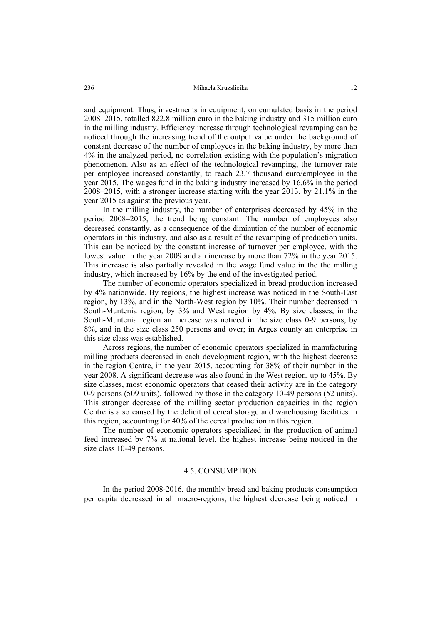and equipment. Thus, investments in equipment, on cumulated basis in the period 2008–2015, totalled 822.8 million euro in the baking industry and 315 million euro in the milling industry. Efficiency increase through technological revamping can be noticed through the increasing trend of the output value under the background of constant decrease of the number of employees in the baking industry, by more than 4% in the analyzed period, no correlation existing with the population's migration phenomenon. Also as an effect of the technological revamping, the turnover rate per employee increased constantly, to reach 23.7 thousand euro/employee in the year 2015. The wages fund in the baking industry increased by 16.6% in the period 2008–2015, with a stronger increase starting with the year 2013, by 21.1% in the year 2015 as against the previous year.

In the milling industry, the number of enterprises decreased by 45% in the period 2008–2015, the trend being constant. The number of employees also decreased constantly, as a consequence of the diminution of the number of economic operators in this industry, and also as a result of the revamping of production units. This can be noticed by the constant increase of turnover per employee, with the lowest value in the year 2009 and an increase by more than 72% in the year 2015. This increase is also partially revealed in the wage fund value in the the milling industry, which increased by 16% by the end of the investigated period.

The number of economic operators specialized in bread production increased by 4% nationwide. By regions, the highest increase was noticed in the South-East region, by 13%, and in the North-West region by 10%. Their number decreased in South-Muntenia region, by 3% and West region by 4%. By size classes, in the South-Muntenia region an increase was noticed in the size class 0-9 persons, by 8%, and in the size class 250 persons and over; in Arges county an enterprise in this size class was established.

Across regions, the number of economic operators specialized in manufacturing milling products decreased in each development region, with the highest decrease in the region Centre, in the year 2015, accounting for 38% of their number in the year 2008. A significant decrease was also found in the West region, up to 45%. By size classes, most economic operators that ceased their activity are in the category 0-9 persons (509 units), followed by those in the category 10-49 persons (52 units). This stronger decrease of the milling sector production capacities in the region Centre is also caused by the deficit of cereal storage and warehousing facilities in this region, accounting for 40% of the cereal production in this region.

The number of economic operators specialized in the production of animal feed increased by 7% at national level, the highest increase being noticed in the size class 10-49 persons.

#### 4.5. CONSUMPTION

In the period 2008-2016, the monthly bread and baking products consumption per capita decreased in all macro-regions, the highest decrease being noticed in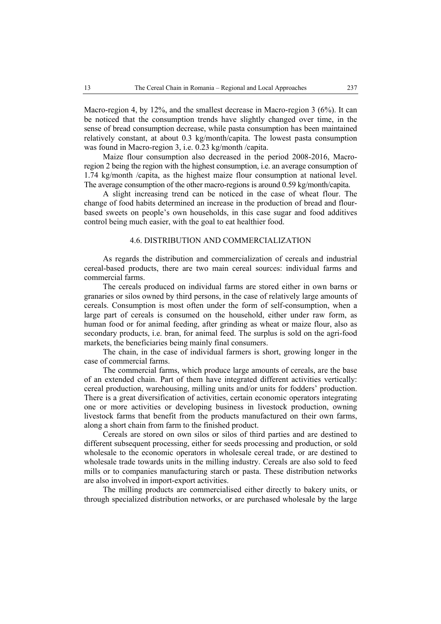Macro-region 4, by 12%, and the smallest decrease in Macro-region 3 (6%). It can be noticed that the consumption trends have slightly changed over time, in the sense of bread consumption decrease, while pasta consumption has been maintained relatively constant, at about 0.3 kg/month/capita. The lowest pasta consumption was found in Macro-region 3, i.e. 0.23 kg/month /capita.

Maize flour consumption also decreased in the period 2008-2016, Macroregion 2 being the region with the highest consumption, i.e. an average consumption of 1.74 kg/month /capita, as the highest maize flour consumption at national level. The average consumption of the other macro-regions is around 0.59 kg/month/capita.

A slight increasing trend can be noticed in the case of wheat flour. The change of food habits determined an increase in the production of bread and flourbased sweets on people's own households, in this case sugar and food additives control being much easier, with the goal to eat healthier food.

# 4.6. DISTRIBUTION AND COMMERCIALIZATION

As regards the distribution and commercialization of cereals and industrial cereal-based products, there are two main cereal sources: individual farms and commercial farms.

The cereals produced on individual farms are stored either in own barns or granaries or silos owned by third persons, in the case of relatively large amounts of cereals. Consumption is most often under the form of self-consumption, when a large part of cereals is consumed on the household, either under raw form, as human food or for animal feeding, after grinding as wheat or maize flour, also as secondary products, i.e. bran, for animal feed. The surplus is sold on the agri-food markets, the beneficiaries being mainly final consumers.

The chain, in the case of individual farmers is short, growing longer in the case of commercial farms.

The commercial farms, which produce large amounts of cereals, are the base of an extended chain. Part of them have integrated different activities vertically: cereal production, warehousing, milling units and/or units for fodders' production. There is a great diversification of activities, certain economic operators integrating one or more activities or developing business in livestock production, owning livestock farms that benefit from the products manufactured on their own farms, along a short chain from farm to the finished product.

Cereals are stored on own silos or silos of third parties and are destined to different subsequent processing, either for seeds processing and production, or sold wholesale to the economic operators in wholesale cereal trade, or are destined to wholesale trade towards units in the milling industry. Cereals are also sold to feed mills or to companies manufacturing starch or pasta. These distribution networks are also involved in import-export activities.

The milling products are commercialised either directly to bakery units, or through specialized distribution networks, or are purchased wholesale by the large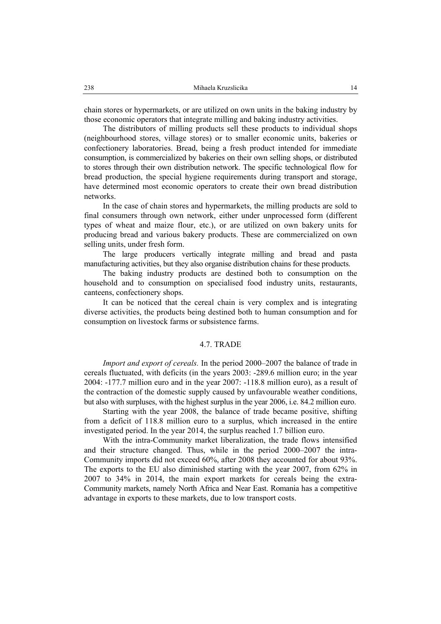chain stores or hypermarkets, or are utilized on own units in the baking industry by those economic operators that integrate milling and baking industry activities.

The distributors of milling products sell these products to individual shops (neighbourhood stores, village stores) or to smaller economic units, bakeries or confectionery laboratories. Bread, being a fresh product intended for immediate consumption, is commercialized by bakeries on their own selling shops, or distributed to stores through their own distribution network. The specific technological flow for bread production, the special hygiene requirements during transport and storage, have determined most economic operators to create their own bread distribution networks.

In the case of chain stores and hypermarkets, the milling products are sold to final consumers through own network, either under unprocessed form (different types of wheat and maize flour, etc.), or are utilized on own bakery units for producing bread and various bakery products. These are commercialized on own selling units, under fresh form.

The large producers vertically integrate milling and bread and pasta manufacturing activities, but they also organise distribution chains for these products.

The baking industry products are destined both to consumption on the household and to consumption on specialised food industry units, restaurants, canteens, confectionery shops.

It can be noticed that the cereal chain is very complex and is integrating diverse activities, the products being destined both to human consumption and for consumption on livestock farms or subsistence farms.

## 4.7. TRADE

*Import and export of cereals.* In the period 2000–2007 the balance of trade in cereals fluctuated, with deficits (in the years 2003: -289.6 million euro; in the year 2004: -177.7 million euro and in the year 2007: -118.8 million euro), as a result of the contraction of the domestic supply caused by unfavourable weather conditions, but also with surpluses, with the highest surplus in the year 2006, i.e. 84.2 million euro.

Starting with the year 2008, the balance of trade became positive, shifting from a deficit of 118.8 million euro to a surplus, which increased in the entire investigated period. In the year 2014, the surplus reached 1.7 billion euro.

With the intra-Community market liberalization, the trade flows intensified and their structure changed. Thus, while in the period 2000–2007 the intra-Community imports did not exceed 60%, after 2008 they accounted for about 93%. The exports to the EU also diminished starting with the year 2007, from 62% in 2007 to 34% in 2014, the main export markets for cereals being the extra-Community markets, namely North Africa and Near East. Romania has a competitive advantage in exports to these markets, due to low transport costs.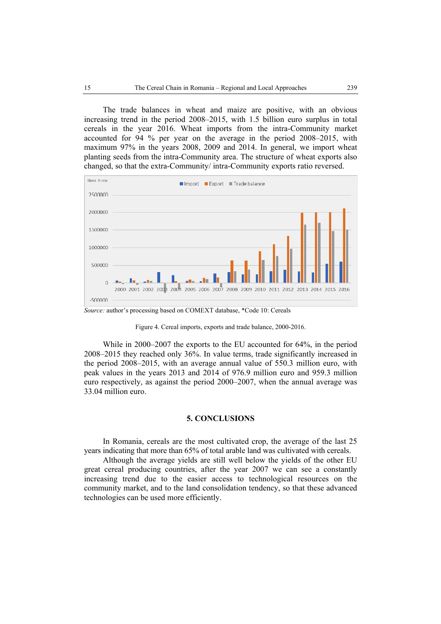The trade balances in wheat and maize are positive, with an obvious increasing trend in the period 2008–2015, with 1.5 billion euro surplus in total cereals in the year 2016. Wheat imports from the intra-Community market accounted for 94 % per year on the average in the period 2008–2015, with maximum 97% in the years 2008, 2009 and 2014. In general, we import wheat planting seeds from the intra-Community area. The structure of wheat exports also changed, so that the extra-Community/ intra-Community exports ratio reversed.



*Source:* author's processing based on COMEXT database, \*Code 10: Cereals

Figure 4. Cereal imports, exports and trade balance, 2000-2016.

While in 2000–2007 the exports to the EU accounted for 64%, in the period 2008–2015 they reached only 36%. In value terms, trade significantly increased in the period 2008–2015, with an average annual value of 550.3 million euro, with peak values in the years 2013 and 2014 of 976.9 million euro and 959.3 million euro respectively, as against the period 2000–2007, when the annual average was 33.04 million euro.

## **5. CONCLUSIONS**

In Romania, cereals are the most cultivated crop, the average of the last 25 years indicating that more than 65% of total arable land was cultivated with cereals.

Although the average yields are still well below the yields of the other EU great cereal producing countries, after the year 2007 we can see a constantly increasing trend due to the easier access to technological resources on the community market, and to the land consolidation tendency, so that these advanced technologies can be used more efficiently.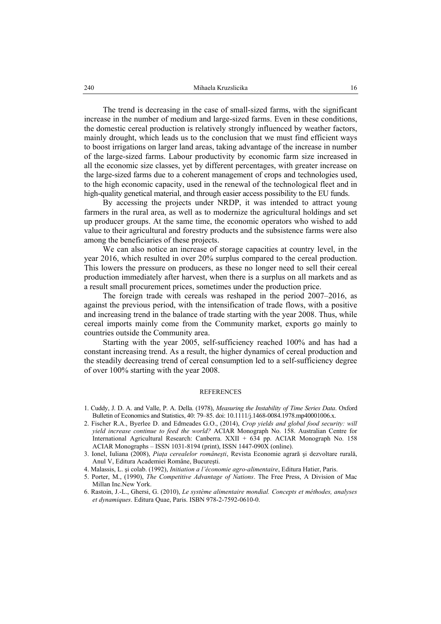The trend is decreasing in the case of small-sized farms, with the significant increase in the number of medium and large-sized farms. Even in these conditions, the domestic cereal production is relatively strongly influenced by weather factors, mainly drought, which leads us to the conclusion that we must find efficient ways to boost irrigations on larger land areas, taking advantage of the increase in number of the large-sized farms. Labour productivity by economic farm size increased in all the economic size classes, yet by different percentages, with greater increase on the large-sized farms due to a coherent management of crops and technologies used, to the high economic capacity, used in the renewal of the technological fleet and in high-quality genetical material, and through easier access possibility to the EU funds.

By accessing the projects under NRDP, it was intended to attract young farmers in the rural area, as well as to modernize the agricultural holdings and set up producer groups. At the same time, the economic operators who wished to add value to their agricultural and forestry products and the subsistence farms were also among the beneficiaries of these projects.

We can also notice an increase of storage capacities at country level, in the year 2016, which resulted in over 20% surplus compared to the cereal production. This lowers the pressure on producers, as these no longer need to sell their cereal production immediately after harvest, when there is a surplus on all markets and as a result small procurement prices, sometimes under the production price.

The foreign trade with cereals was reshaped in the period 2007–2016, as against the previous period, with the intensification of trade flows, with a positive and increasing trend in the balance of trade starting with the year 2008. Thus, while cereal imports mainly come from the Community market, exports go mainly to countries outside the Community area.

Starting with the year 2005, self-sufficiency reached 100% and has had a constant increasing trend. As a result, the higher dynamics of cereal production and the steadily decreasing trend of cereal consumption led to a self-sufficiency degree of over 100% starting with the year 2008.

#### **REFERENCES**

- 1. Cuddy, J. D. A. and Valle, P. A. Della. (1978), *Measuring the Instability of Time Series Data*. Oxford Bulletin of Economics and Statistics, 40: 79–85. doi: 10.1111/j.1468-0084.1978.mp40001006.x.
- 2. Fischer R.A., Byerlee D. and Edmeades G.O., (2014), *Crop yields and global food security: will yield increase continue to feed the world?* ACIAR Monograph No. 158. Australian Centre for International Agricultural Research: Canberra. XXII + 634 pp. ACIAR Monograph No. 158 ACIAR Monographs – ISSN 1031-8194 (print), ISSN 1447-090X (online).
- 3. Ionel, Iuliana (2008), *Piaţa cerealelor româneşti*, Revista Economie agrară şi dezvoltare rurală, Anul V, Editura Academiei Române, Bucureşti.
- 4. Malassis, L. şi colab. (1992), *Initiation a l'économie agro-alimentaire*, Editura Hatier, Paris.
- 5. Porter, M., (1990), *The Competitive Advantage of Nations*. The Free Press, A Division of Mac Millan Inc.New York.
- 6. Rastoin, J.-L., Ghersi, G. (2010), *Le système alimentaire mondial. Concepts et méthodes, analyses et dynamiques*. Editura Quae, Paris. ISBN 978-2-7592-0610-0.